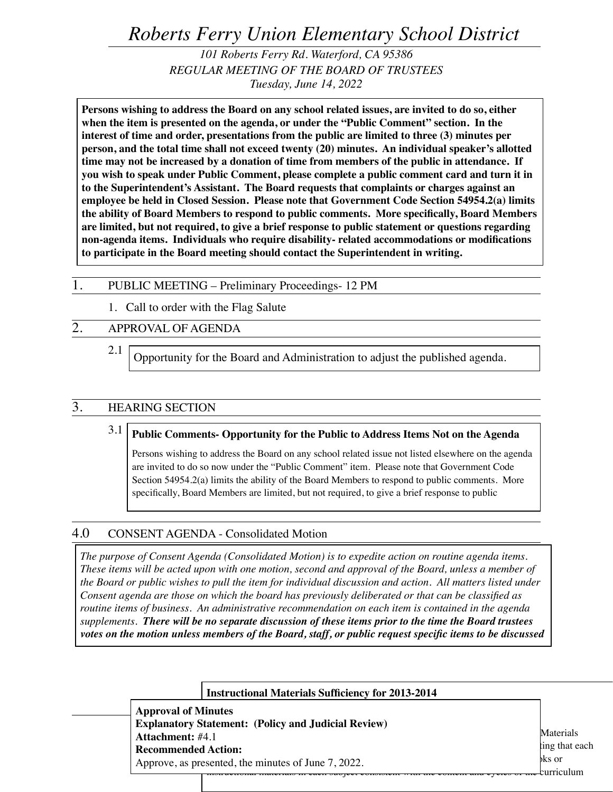*Roberts Ferry Union Elementary School District*

*101 Roberts Ferry Rd. Waterford, CA 95386 REGULAR MEETING OF THE BOARD OF TRUSTEES Tuesday, June 14, 2022*

**Persons wishing to address the Board on any school related issues, are invited to do so, either when the item is presented on the agenda, or under the "Public Comment" section. In the interest of time and order, presentations from the public are limited to three (3) minutes per person, and the total time shall not exceed twenty (20) minutes. An individual speaker's allotted time may not be increased by a donation of time from members of the public in attendance. If you wish to speak under Public Comment, please complete a public comment card and turn it in to the Superintendent's Assistant. The Board requests that complaints or charges against an employee be held in Closed Session. Please note that Government Code Section 54954.2(a) limits the ability of Board Members to respond to public comments. More specifically, Board Members are limited, but not required, to give a brief response to public statement or questions regarding non-agenda items. Individuals who require disability- related accommodations or modifications to participate in the Board meeting should contact the Superintendent in writing.**

## 1. PUBLIC MEETING – Preliminary Proceedings- 12 PM

1. Call to order with the Flag Salute

# 2. APPROVAL OF AGENDA

2.1 Opportunity for the Board and Administration to adjust the published agenda.

## 3. HEARING SECTION

3.1 **Public Comments- Opportunity for the Public to Address Items Not on the Agenda**

Persons wishing to address the Board on any school related issue not listed elsewhere on the agenda are invited to do so now under the "Public Comment" item. Please note that Government Code Section 54954.2(a) limits the ability of the Board Members to respond to public comments. More specifically, Board Members are limited, but not required, to give a brief response to public

## 4.0 CONSENT AGENDA - Consolidated Motion

*The purpose of Consent Agenda (Consolidated Motion) is to expedite action on routine agenda items. These items will be acted upon with one motion, second and approval of the Board, unless a member of the Board or public wishes to pull the item for individual discussion and action. All matters listed under Consent agenda are those on which the board has previously deliberated or that can be classified as routine items of business. An administrative recommendation on each item is contained in the agenda supplements. There will be no separate discussion of these items prior to the time the Board trustees votes on the motion unless members of the Board, staff, or public request specific items to be discussed* 

|                                                                                                              | <b>Instructional Materials Sufficiency for 2013-2014</b> |                |
|--------------------------------------------------------------------------------------------------------------|----------------------------------------------------------|----------------|
| <b>Approval of Minutes</b>                                                                                   |                                                          |                |
| <b>Explanatory Statement: (Policy and Judicial Review)</b>                                                   |                                                          |                |
| <b>Attachment:</b> #4.1<br><b>Recommended Action:</b><br>Approve, as presented, the minutes of June 7, 2022. |                                                          | Materials      |
|                                                                                                              |                                                          | ting that each |
|                                                                                                              |                                                          | oks or         |
|                                                                                                              |                                                          | eurriculum     |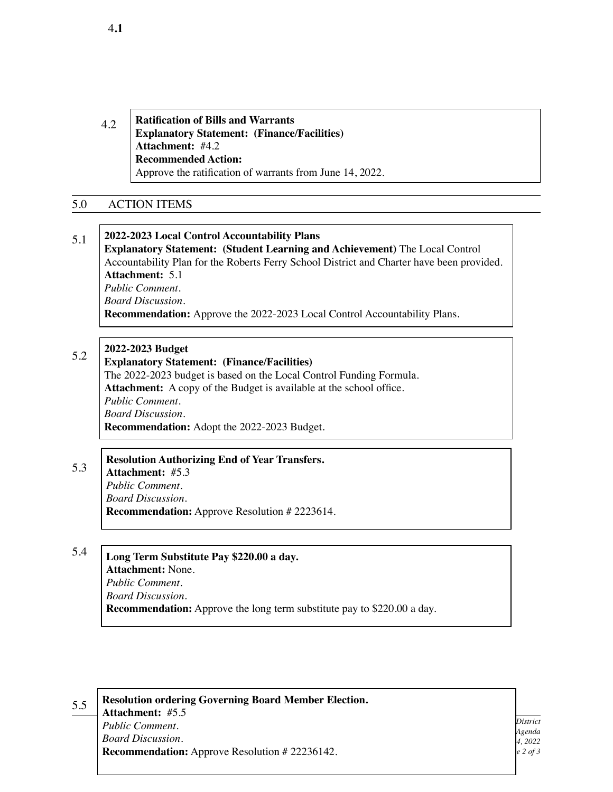4.2 **Ratification of Bills and Warrants Explanatory Statement: (Finance/Facilities) Attachment:** #4.2 **Recommended Action:** Approve the ratification of warrants from June 14, 2022.

## 5.0 ACTION ITEMS

### 5.1 **2022-2023 Local Control Accountability Plans Explanatory Statement: (Student Learning and Achievement)** The Local Control Accountability Plan for the Roberts Ferry School District and Charter have been provided. **Attachment:** 5.1 *Public Comment. Board Discussion.* **Recommendation:** Approve the 2022-2023 Local Control Accountability Plans.

#### 5.2 **2022-2023 Budget**

### **Explanatory Statement: (Finance/Facilities)**

The 2022-2023 budget is based on the Local Control Funding Formula. **Attachment:** A copy of the Budget is available at the school office. *Public Comment. Board Discussion.* **Recommendation:** Adopt the 2022-2023 Budget.

## **Resolution Authorizing End of Year Transfers.**

**Attachment:** #5.3 *Public Comment. Board Discussion.* **Recommendation:** Approve Resolution # 2223614.

### 5.4 **Long Term Substitute Pay \$220.00 a day. Attachment:** None. *Public Comment. Board Discussion.*

**Recommendation:** Approve the long term substitute pay to \$220.00 a day.

5.5

5.3

**Resolution ordering Governing Board Member Election. Attachment:** #5.5 *Public Comment. Board Discussion.* **Recommendation:** Approve Resolution # 22236142.

*Roberts Ferry Union Elementary School District Board of Trustees Meeting Agenda June 14, 2022 Page 2 of 3*